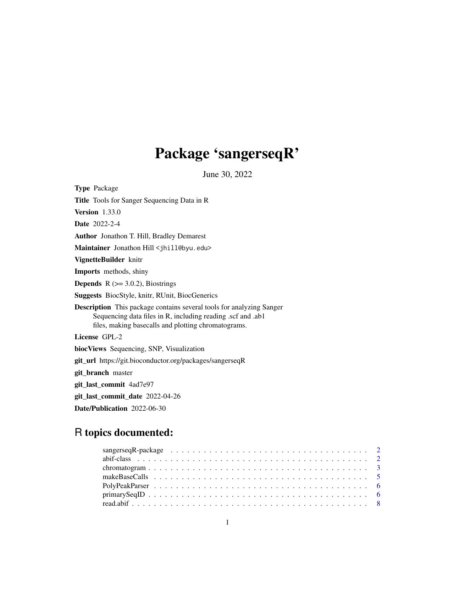## Package 'sangerseqR'

June 30, 2022

<span id="page-0-0"></span>Type Package Title Tools for Sanger Sequencing Data in R Version 1.33.0 Date 2022-2-4 Author Jonathon T. Hill, Bradley Demarest Maintainer Jonathon Hill <jhill@byu.edu> VignetteBuilder knitr Imports methods, shiny **Depends**  $R$  ( $>= 3.0.2$ ), Biostrings Suggests BiocStyle, knitr, RUnit, BiocGenerics Description This package contains several tools for analyzing Sanger Sequencing data files in R, including reading .scf and .ab1 files, making basecalls and plotting chromatograms. License GPL-2 biocViews Sequencing, SNP, Visualization git\_url https://git.bioconductor.org/packages/sangerseqR git\_branch master git\_last\_commit 4ad7e97 git\_last\_commit\_date 2022-04-26 Date/Publication 2022-06-30

## R topics documented:

| $\text{primarySeqID} \dots \dots \dots \dots \dots \dots \dots \dots \dots \dots \dots \dots \dots \dots \dots \dots \dots \dots$ |  |
|-----------------------------------------------------------------------------------------------------------------------------------|--|
|                                                                                                                                   |  |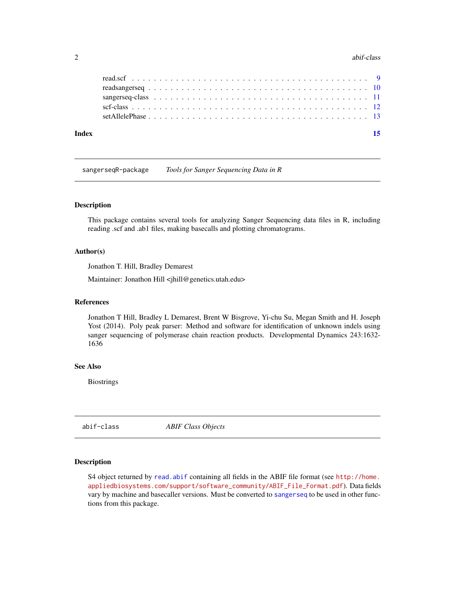#### <span id="page-1-0"></span>2 abif-class and  $\frac{1}{2}$  abif-class abif-class abif-class abif-class abif-class abif-class abif-class abif-class abif-class abif-class abif-class abif-class abif-class abif-class abif-class abif-class abif-class abif-cla

| Index |  |  |
|-------|--|--|
|       |  |  |
|       |  |  |
|       |  |  |
|       |  |  |
|       |  |  |

sangerseqR-package *Tools for Sanger Sequencing Data in R*

## Description

This package contains several tools for analyzing Sanger Sequencing data files in R, including reading .scf and .ab1 files, making basecalls and plotting chromatograms.

#### Author(s)

Jonathon T. Hill, Bradley Demarest

Maintainer: Jonathon Hill <jhill@genetics.utah.edu>

#### References

Jonathon T Hill, Bradley L Demarest, Brent W Bisgrove, Yi-chu Su, Megan Smith and H. Joseph Yost (2014). Poly peak parser: Method and software for identification of unknown indels using sanger sequencing of polymerase chain reaction products. Developmental Dynamics 243:1632- 1636

#### See Also

Biostrings

abif-class *ABIF Class Objects*

## <span id="page-1-1"></span>Description

S4 object returned by [read.abif](#page-7-1) containing all fields in the ABIF file format (see [http://home.](http://home.appliedbiosystems.com/support/software_community/ABIF_File_Format.pdf) [appliedbiosystems.com/support/software\\_community/ABIF\\_File\\_Format.pdf](http://home.appliedbiosystems.com/support/software_community/ABIF_File_Format.pdf)). Data fields vary by machine and basecaller versions. Must be converted to [sangerseq](#page-10-1) to be used in other functions from this package.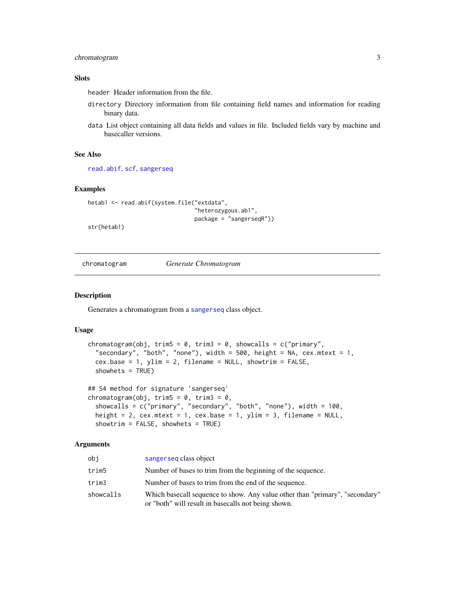## <span id="page-2-0"></span>chromatogram 3

## Slots

header Header information from the file.

- directory Directory information from file containing field names and information for reading binary data.
- data List object containing all data fields and values in file. Included fields vary by machine and basecaller versions.

#### See Also

[read.abif](#page-7-1), [scf](#page-11-1), [sangerseq](#page-10-1)

## Examples

```
hetab1 <- read.abif(system.file("extdata",
                                "heterozygous.ab1",
                                package = "sangerseqR"))
```
str(hetab1)

<span id="page-2-1"></span>chromatogram *Generate Chromatogram*

## Description

Generates a chromatogram from a [sangerseq](#page-10-1) class object.

## Usage

```
chromatogram(obj, trim5 = 0, trim3 = 0, showcalls = c("primary","secondary", "both", "none"), width = 500, height = NA, cex.mtext = 1,
  cex.base = 1, ylim = 2, filename = NULL, showtrim = FALSE,
  showhets = TRUE)
## S4 method for signature 'sangerseq'
chromatogram(obj, trim5 = 0, trim3 = 0,
```

```
showcalls = c("primary", "secondary", "both", "none"), width = 100,
height = 2, cex.mtext = 1, cex.base = 1, ylim = 3, filename = NULL,
showtrim = FALSE, showhets = TRUE)
```
#### Arguments

| obi       | sangerseq class object                                                                                                              |
|-----------|-------------------------------------------------------------------------------------------------------------------------------------|
| trim5     | Number of bases to trim from the beginning of the sequence.                                                                         |
| trim3     | Number of bases to trim from the end of the sequence.                                                                               |
| showcalls | Which basecall sequence to show. Any value other than "primary", "secondary"<br>or "both" will result in basecalls not being shown. |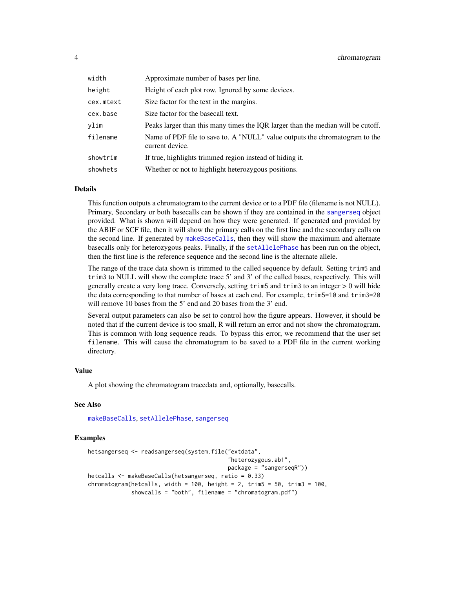<span id="page-3-0"></span>

| width     | Approximate number of bases per line.                                                          |
|-----------|------------------------------------------------------------------------------------------------|
| height    | Height of each plot row. Ignored by some devices.                                              |
| cex.mtext | Size factor for the text in the margins.                                                       |
| cex.base  | Size factor for the basecall text.                                                             |
| vlim      | Peaks larger than this many times the IQR larger than the median will be cutoff.               |
| filename  | Name of PDF file to save to. A "NULL" value outputs the chromatogram to the<br>current device. |
| showtrim  | If true, highlights trimmed region instead of hiding it.                                       |
| showhets  | Whether or not to highlight heterozygous positions.                                            |

#### Details

This function outputs a chromatogram to the current device or to a PDF file (filename is not NULL). Primary, Secondary or both basecalls can be shown if they are contained in the [sangerseq](#page-10-1) object provided. What is shown will depend on how they were generated. If generated and provided by the ABIF or SCF file, then it will show the primary calls on the first line and the secondary calls on the second line. If generated by [makeBaseCalls](#page-4-1), then they will show the maximum and alternate basecalls only for heterozygous peaks. Finally, if the [setAllelePhase](#page-12-1) has been run on the object, then the first line is the reference sequence and the second line is the alternate allele.

The range of the trace data shown is trimmed to the called sequence by default. Setting trim5 and trim3 to NULL will show the complete trace 5' and 3' of the called bases, respectively. This will generally create a very long trace. Conversely, setting trim5 and trim3 to an integer > 0 will hide the data corresponding to that number of bases at each end. For example, trim5=10 and trim3=20 will remove 10 bases from the 5' end and 20 bases from the 3' end.

Several output parameters can also be set to control how the figure appears. However, it should be noted that if the current device is too small, R will return an error and not show the chromatogram. This is common with long sequence reads. To bypass this error, we recommend that the user set filename. This will cause the chromatogram to be saved to a PDF file in the current working directory.

#### Value

A plot showing the chromatogram tracedata and, optionally, basecalls.

### See Also

[makeBaseCalls](#page-4-1), [setAllelePhase](#page-12-1), [sangerseq](#page-10-1)

#### Examples

```
hetsangerseq <- readsangerseq(system.file("extdata",
                                          "heterozygous.ab1",
                                          package = "sangerseqR"))
hetcalls <- makeBaseCalls(hetsangerseq, ratio = 0.33)
chromatogram(hct calls, width = 100, height = 2, trim5 = 50, trim3 = 100,showcalls = "both", filename = "chromatogram.pdf")
```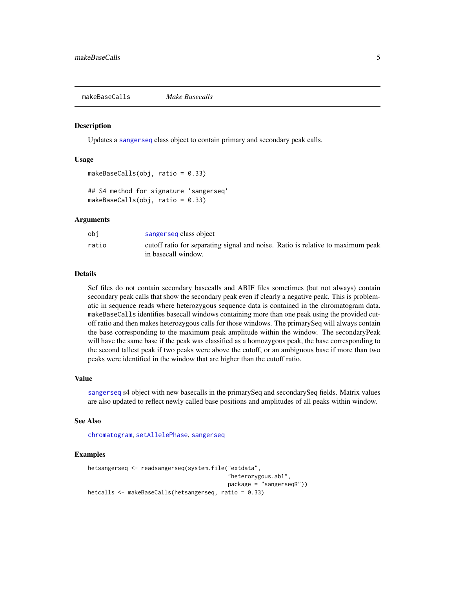<span id="page-4-1"></span><span id="page-4-0"></span>makeBaseCalls *Make Basecalls*

## Description

Updates a [sangerseq](#page-10-1) class object to contain primary and secondary peak calls.

#### Usage

```
makeBaseCalls(obj, ratio = 0.33)
## S4 method for signature 'sangerseq'
makeBaseCalls(obj, ratio = 0.33)
```
#### Arguments

| obi   | sangerseq class object                                                                                 |
|-------|--------------------------------------------------------------------------------------------------------|
| ratio | cutoff ratio for separating signal and noise. Ratio is relative to maximum peak<br>in basecall window. |

## Details

Scf files do not contain secondary basecalls and ABIF files sometimes (but not always) contain secondary peak calls that show the secondary peak even if clearly a negative peak. This is problematic in sequence reads where heterozygous sequence data is contained in the chromatogram data. makeBaseCalls identifies basecall windows containing more than one peak using the provided cutoff ratio and then makes heterozygous calls for those windows. The primarySeq will always contain the base corresponding to the maximum peak amplitude within the window. The secondaryPeak will have the same base if the peak was classified as a homozygous peak, the base corresponding to the second tallest peak if two peaks were above the cutoff, or an ambiguous base if more than two peaks were identified in the window that are higher than the cutoff ratio.

#### Value

[sangerseq](#page-10-1) s4 object with new basecalls in the primarySeq and secondarySeq fields. Matrix values are also updated to reflect newly called base positions and amplitudes of all peaks within window.

#### See Also

[chromatogram](#page-2-1), [setAllelePhase](#page-12-1), [sangerseq](#page-10-1)

#### Examples

```
hetsangerseq <- readsangerseq(system.file("extdata",
                                          "heterozygous.ab1",
                                          package = "sangerseqR"))
hetcalls <- makeBaseCalls(hetsangerseq, ratio = 0.33)
```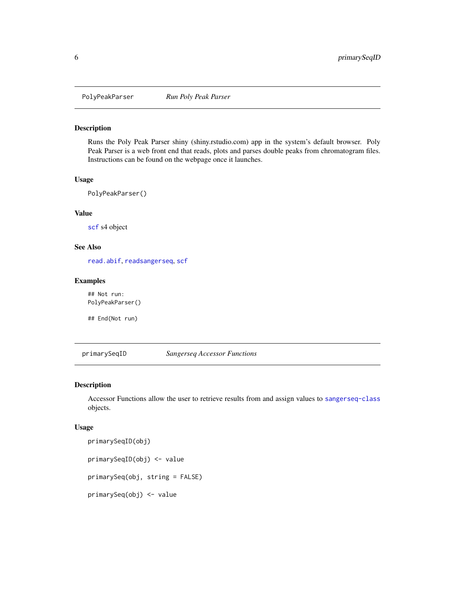<span id="page-5-0"></span>

## Description

Runs the Poly Peak Parser shiny (shiny.rstudio.com) app in the system's default browser. Poly Peak Parser is a web front end that reads, plots and parses double peaks from chromatogram files. Instructions can be found on the webpage once it launches.

### Usage

PolyPeakParser()

## Value

[scf](#page-11-1) s4 object

#### See Also

[read.abif](#page-7-1), [readsangerseq](#page-9-1), [scf](#page-11-1)

#### Examples

## Not run: PolyPeakParser()

## End(Not run)

<span id="page-5-1"></span>primarySeqID *Sangerseq Accessor Functions*

## <span id="page-5-2"></span>Description

Accessor Functions allow the user to retrieve results from and assign values to [sangerseq-class](#page-10-2) objects.

#### Usage

```
primarySeqID(obj)
primarySeqID(obj) <- value
primarySeq(obj, string = FALSE)
primarySeq(obj) <- value
```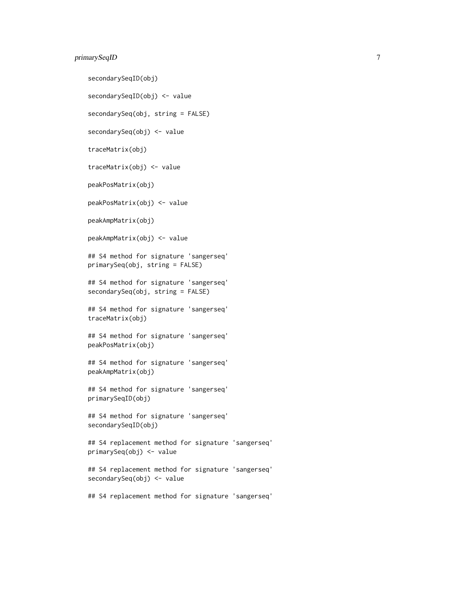## primarySeqID 7

secondarySeqID(obj) secondarySeqID(obj) <- value secondarySeq(obj, string = FALSE) secondarySeq(obj) <- value traceMatrix(obj) traceMatrix(obj) <- value peakPosMatrix(obj) peakPosMatrix(obj) <- value peakAmpMatrix(obj) peakAmpMatrix(obj) <- value ## S4 method for signature 'sangerseq' primarySeq(obj, string = FALSE) ## S4 method for signature 'sangerseq' secondarySeq(obj, string = FALSE) ## S4 method for signature 'sangerseq' traceMatrix(obj) ## S4 method for signature 'sangerseq' peakPosMatrix(obj) ## S4 method for signature 'sangerseq' peakAmpMatrix(obj) ## S4 method for signature 'sangerseq' primarySeqID(obj) ## S4 method for signature 'sangerseq' secondarySeqID(obj) ## S4 replacement method for signature 'sangerseq' primarySeq(obj) <- value ## S4 replacement method for signature 'sangerseq' secondarySeq(obj) <- value ## S4 replacement method for signature 'sangerseq'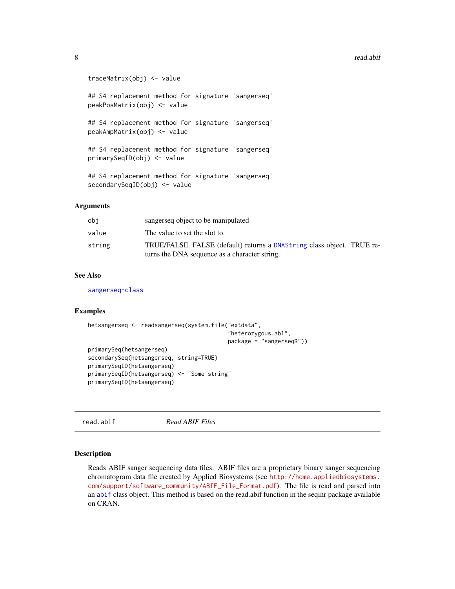#### <span id="page-7-0"></span>8 **8** *read.abif*

```
traceMatrix(obj) <- value
## S4 replacement method for signature 'sangerseq'
peakPosMatrix(obj) <- value
## S4 replacement method for signature 'sangerseq'
peakAmpMatrix(obj) <- value
## S4 replacement method for signature 'sangerseq'
primarySeqID(obj) <- value
## S4 replacement method for signature 'sangerseq'
secondarySeqID(obj) <- value
```
#### Arguments

| obi    | sangersed object to be manipulated                                                                                      |
|--------|-------------------------------------------------------------------------------------------------------------------------|
| value  | The value to set the slot to.                                                                                           |
| string | TRUE/FALSE, FALSE (default) returns a DNAString class object. TRUE re-<br>turns the DNA sequence as a character string. |

## See Also

[sangerseq-class](#page-10-2)

## Examples

```
hetsangerseq <- readsangerseq(system.file("extdata",
                                          "heterozygous.ab1",
                                          package = "sangerseqR"))
primarySeq(hetsangerseq)
secondarySeq(hetsangerseq, string=TRUE)
primarySeqID(hetsangerseq)
primarySeqID(hetsangerseq) <- "Some string"
primarySeqID(hetsangerseq)
```
<span id="page-7-1"></span>read.abif *Read ABIF Files*

#### Description

Reads ABIF sanger sequencing data files. ABIF files are a proprietary binary sanger sequencing chromatogram data file created by Applied Biosystems (see [http://home.appliedbiosystems.](http://home.appliedbiosystems.com/support/software_community/ABIF_File_Format.pdf) [com/support/software\\_community/ABIF\\_File\\_Format.pdf](http://home.appliedbiosystems.com/support/software_community/ABIF_File_Format.pdf)). The file is read and parsed into an [abif](#page-1-1) class object. This method is based on the read.abif function in the seqinr package available on CRAN.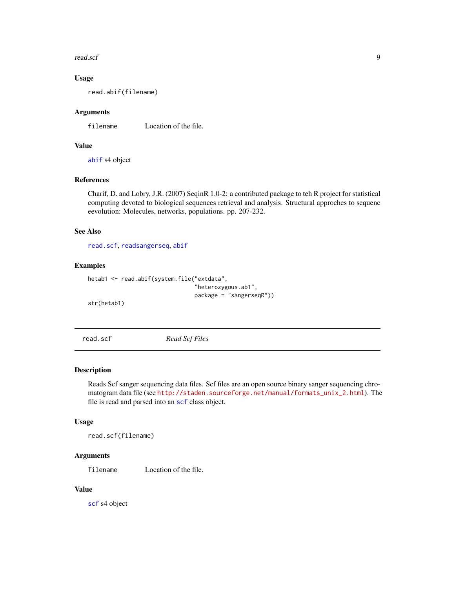#### <span id="page-8-0"></span>read.scf 9

## Usage

read.abif(filename)

### Arguments

filename Location of the file.

## Value

[abif](#page-1-1) s4 object

## References

Charif, D. and Lobry, J.R. (2007) SeqinR 1.0-2: a contributed package to teh R project for statistical computing devoted to biological sequences retrieval and analysis. Structural approches to sequenc eevolution: Molecules, networks, populations. pp. 207-232.

#### See Also

[read.scf](#page-8-1), [readsangerseq](#page-9-1), [abif](#page-1-1)

## Examples

```
hetab1 <- read.abif(system.file("extdata",
                                "heterozygous.ab1",
                                package = "sangerseqR"))
```
str(hetab1)

<span id="page-8-1"></span>read.scf *Read Scf Files*

## Description

Reads Scf sanger sequencing data files. Scf files are an open source binary sanger sequencing chromatogram data file (see [http://staden.sourceforge.net/manual/formats\\_unix\\_2.html](http://staden.sourceforge.net/manual/formats_unix_2.html)). The file is read and parsed into an [scf](#page-11-1) class object.

#### Usage

read.scf(filename)

## Arguments

filename Location of the file.

## Value

[scf](#page-11-1) s4 object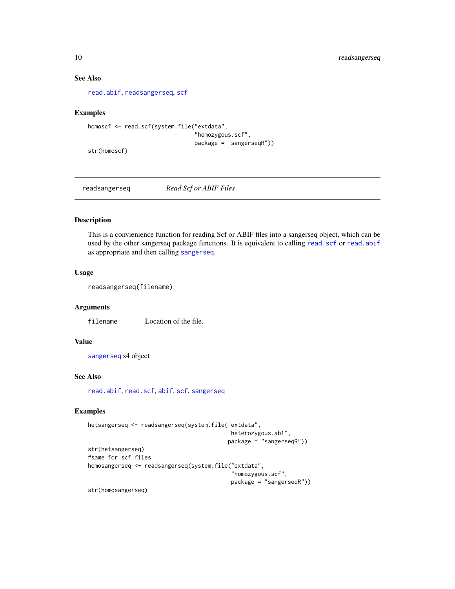### See Also

[read.abif](#page-7-1), [readsangerseq](#page-9-1), [scf](#page-11-1)

## Examples

```
homoscf <- read.scf(system.file("extdata",
                                "homozygous.scf",
                                package = "sangerseqR"))
```
str(homoscf)

<span id="page-9-1"></span>readsangerseq *Read Scf or ABIF Files*

## Description

This is a convienience function for reading Scf or ABIF files into a sangerseq object, which can be used by the other sangerseq package functions. It is equivalent to calling [read.scf](#page-8-1) or [read.abif](#page-7-1) as appropriate and then calling [sangerseq](#page-10-1).

#### Usage

readsangerseq(filename)

## Arguments

filename Location of the file.

#### Value

[sangerseq](#page-10-1) s4 object

## See Also

[read.abif](#page-7-1), [read.scf](#page-8-1), [abif](#page-1-1), [scf](#page-11-1), [sangerseq](#page-10-1)

#### Examples

```
hetsangerseq <- readsangerseq(system.file("extdata",
                                          "heterozygous.ab1",
                                          package = "sangerseqR"))
str(hetsangerseq)
#same for scf files
homosangerseq <- readsangerseq(system.file("extdata",
                                            "homozygous.scf",
                                           package = "sangerseqR"))
```
str(homosangerseq)

<span id="page-9-0"></span>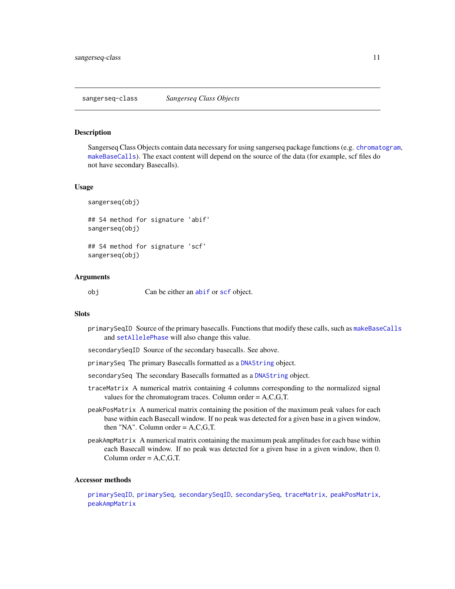#### <span id="page-10-2"></span><span id="page-10-1"></span><span id="page-10-0"></span>**Description**

Sangerseq Class Objects contain data necessary for using sangerseq package functions (e.g. [chromatogram](#page-2-1), [makeBaseCalls](#page-4-1)). The exact content will depend on the source of the data (for example, scf files do not have secondary Basecalls).

#### Usage

```
sangerseq(obj)
```

```
## S4 method for signature 'abif'
sangerseq(obj)
```
## S4 method for signature 'scf' sangerseq(obj)

#### Arguments

obj Can be either an [abif](#page-1-1) or [scf](#page-11-1) object.

#### **Slots**

- primarySeqID Source of the primary basecalls. Functions that modify these calls, such as [makeBaseCalls](#page-4-1) and [setAllelePhase](#page-12-1) will also change this value.
- secondarySeqID Source of the secondary basecalls. See above.
- primarySeq The primary Basecalls formatted as a [DNAString](#page-0-0) object.
- secondarySeq The secondary Basecalls formatted as a [DNAString](#page-0-0) object.
- traceMatrix A numerical matrix containing 4 columns corresponding to the normalized signal values for the chromatogram traces. Column order  $= A, C, G, T$ .
- peakPosMatrix A numerical matrix containing the position of the maximum peak values for each base within each Basecall window. If no peak was detected for a given base in a given window, then "NA". Column order  $= A, C, G, T$ .
- peakAmpMatrix A numerical matrix containing the maximum peak amplitudes for each base within each Basecall window. If no peak was detected for a given base in a given window, then 0. Column order  $= A.C.G.T.$

#### Accessor methods

[primarySeqID](#page-5-1), [primarySeq](#page-5-2), [secondarySeqID](#page-5-2), [secondarySeq](#page-5-2), [traceMatrix](#page-5-2), [peakPosMatrix](#page-5-2), [peakAmpMatrix](#page-5-2)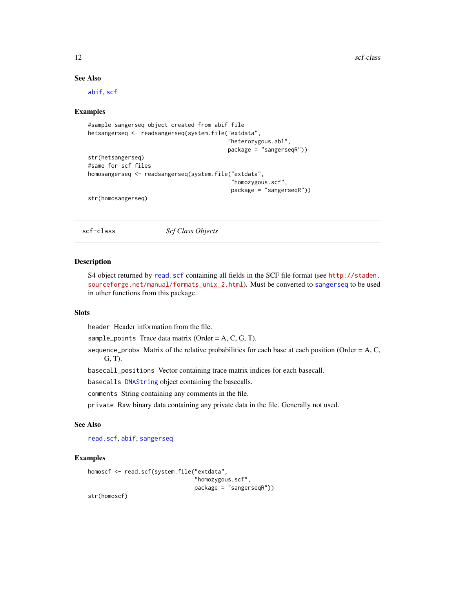12 scf-class

### See Also

[abif](#page-1-1), [scf](#page-11-1)

#### Examples

```
#sample sangerseq object created from abif file
hetsangerseq <- readsangerseq(system.file("extdata",
                                           "heterozygous.ab1",
                                           package = "sangerseqR"))
str(hetsangerseq)
#same for scf files
homosangerseq <- readsangerseq(system.file("extdata",
                                            "homozygous.scf",
                                            package = "sangerseqR"))
str(homosangerseq)
```
scf-class *Scf Class Objects*

#### <span id="page-11-1"></span>Description

S4 object returned by [read.scf](#page-8-1) containing all fields in the SCF file format (see [http://staden.](http://staden.sourceforge.net/manual/formats_unix_2.html) [sourceforge.net/manual/formats\\_unix\\_2.html](http://staden.sourceforge.net/manual/formats_unix_2.html)). Must be converted to [sangerseq](#page-10-1) to be used in other functions from this package.

## **Slots**

header Header information from the file.

sample\_points Trace data matrix (Order =  $A, C, G, T$ ).

sequence\_probs Matrix of the relative probabilities for each base at each position (Order =  $A, C$ , G, T).

basecall\_positions Vector containing trace matrix indices for each basecall.

basecalls [DNAString](#page-0-0) object containing the basecalls.

comments String containing any comments in the file.

private Raw binary data containing any private data in the file. Generally not used.

## See Also

[read.scf](#page-8-1), [abif](#page-1-1), [sangerseq](#page-10-1)

## Examples

```
homoscf <- read.scf(system.file("extdata",
                                "homozygous.scf",
                                package = "sangerseqR"))
```
str(homoscf)

<span id="page-11-0"></span>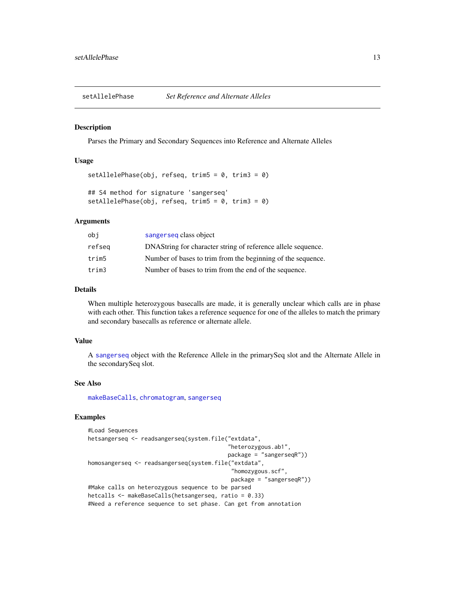<span id="page-12-1"></span><span id="page-12-0"></span>

#### Description

Parses the Primary and Secondary Sequences into Reference and Alternate Alleles

#### Usage

```
setAllelePhase(obj, refseq, trim5 = 0, trim3 = 0)
## S4 method for signature 'sangerseq'
setAllelePhase(obj, refseq, trim5 = 0, trim3 = 0)
```
## Arguments

| obi    | sangerseq class object                                       |
|--------|--------------------------------------------------------------|
| refseg | DNAString for character string of reference allele sequence. |
| trim5  | Number of bases to trim from the beginning of the sequence.  |
| trim3  | Number of bases to trim from the end of the sequence.        |

## Details

When multiple heterozygous basecalls are made, it is generally unclear which calls are in phase with each other. This function takes a reference sequence for one of the alleles to match the primary and secondary basecalls as reference or alternate allele.

#### Value

A [sangerseq](#page-10-1) object with the Reference Allele in the primarySeq slot and the Alternate Allele in the secondarySeq slot.

#### See Also

[makeBaseCalls](#page-4-1), [chromatogram](#page-2-1), [sangerseq](#page-10-1)

## Examples

```
#Load Sequences
hetsangerseq <- readsangerseq(system.file("extdata",
                                          "heterozygous.ab1",
                                          package = "sangerseqR"))
homosangerseq <- readsangerseq(system.file("extdata",
                                           "homozygous.scf",
                                           package = "sangerseqR"))
#Make calls on heterozygous sequence to be parsed
hetcalls <- makeBaseCalls(hetsangerseq, ratio = 0.33)
#Need a reference sequence to set phase. Can get from annotation
```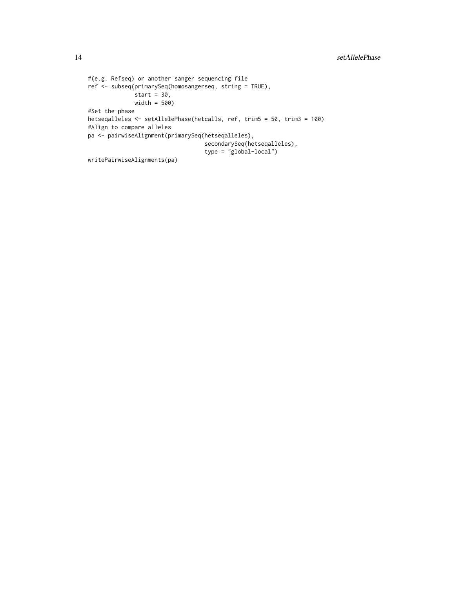```
#(e.g. Refseq) or another sanger sequencing file
ref <- subseq(primarySeq(homosangerseq, string = TRUE),
              start = 30,
             width = 500)
#Set the phase
hetseqalleles <- setAllelePhase(hetcalls, ref, trim5 = 50, trim3 = 100)
#Align to compare alleles
pa <- pairwiseAlignment(primarySeq(hetseqalleles),
                                  secondarySeq(hetseqalleles),
                                   type = "global-local")
writePairwiseAlignments(pa)
```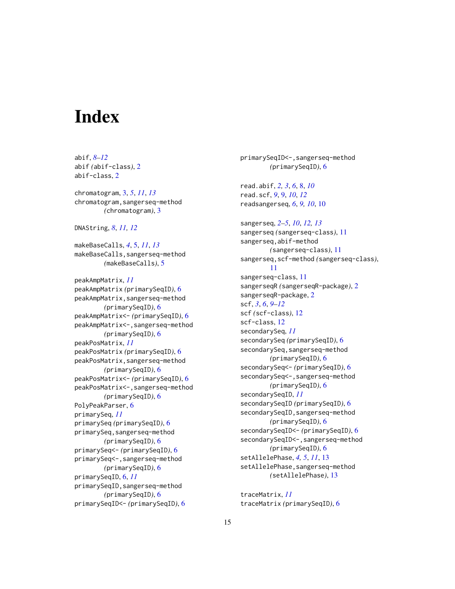# <span id="page-14-0"></span>**Index**

abif, *[8](#page-7-0)[–12](#page-11-0)* abif *(*abif-class*)*, [2](#page-1-0) abif-class, [2](#page-1-0) chromatogram, [3,](#page-2-0) *[5](#page-4-0)*, *[11](#page-10-0)*, *[13](#page-12-0)* chromatogram,sangerseq-method *(*chromatogram*)*, [3](#page-2-0) DNAString, *[8](#page-7-0)*, *[11,](#page-10-0) [12](#page-11-0)* makeBaseCalls, *[4](#page-3-0)*, [5,](#page-4-0) *[11](#page-10-0)*, *[13](#page-12-0)* makeBaseCalls,sangerseq-method *(*makeBaseCalls*)*, [5](#page-4-0) peakAmpMatrix, *[11](#page-10-0)* peakAmpMatrix *(*primarySeqID*)*, [6](#page-5-0) peakAmpMatrix,sangerseq-method *(*primarySeqID*)*, [6](#page-5-0) peakAmpMatrix<- *(*primarySeqID*)*, [6](#page-5-0) peakAmpMatrix<-,sangerseq-method *(*primarySeqID*)*, [6](#page-5-0) peakPosMatrix, *[11](#page-10-0)* peakPosMatrix *(*primarySeqID*)*, [6](#page-5-0) peakPosMatrix,sangerseq-method *(*primarySeqID*)*, [6](#page-5-0) peakPosMatrix<- *(*primarySeqID*)*, [6](#page-5-0) peakPosMatrix<-,sangerseq-method *(*primarySeqID*)*, [6](#page-5-0) PolyPeakParser, [6](#page-5-0) primarySeq, *[11](#page-10-0)* primarySeq *(*primarySeqID*)*, [6](#page-5-0) primarySeq,sangerseq-method *(*primarySeqID*)*, [6](#page-5-0) primarySeq<- *(*primarySeqID*)*, [6](#page-5-0) primarySeq<-,sangerseq-method *(*primarySeqID*)*, [6](#page-5-0) primarySeqID, [6,](#page-5-0) *[11](#page-10-0)* primarySeqID,sangerseq-method *(*primarySeqID*)*, [6](#page-5-0) primarySeqID<- *(*primarySeqID*)*, [6](#page-5-0)

primarySeqID<-,sangerseq-method *(*primarySeqID*)*, [6](#page-5-0) read.abif, *[2,](#page-1-0) [3](#page-2-0)*, *[6](#page-5-0)*, [8,](#page-7-0) *[10](#page-9-0)* read.scf, *[9](#page-8-0)*, [9,](#page-8-0) *[10](#page-9-0)*, *[12](#page-11-0)* readsangerseq, *[6](#page-5-0)*, *[9,](#page-8-0) [10](#page-9-0)*, [10](#page-9-0) sangerseq, *[2](#page-1-0)[–5](#page-4-0)*, *[10](#page-9-0)*, *[12,](#page-11-0) [13](#page-12-0)* sangerseq *(*sangerseq-class*)*, [11](#page-10-0) sangerseq,abif-method *(*sangerseq-class*)*, [11](#page-10-0) sangerseq,scf-method *(*sangerseq-class*)*, [11](#page-10-0) sangerseq-class, [11](#page-10-0) sangerseqR *(*sangerseqR-package*)*, [2](#page-1-0) sangerseqR-package, [2](#page-1-0) scf, *[3](#page-2-0)*, *[6](#page-5-0)*, *[9](#page-8-0)[–12](#page-11-0)* scf *(*scf-class*)*, [12](#page-11-0) scf-class, [12](#page-11-0) secondarySeq, *[11](#page-10-0)* secondarySeq *(*primarySeqID*)*, [6](#page-5-0) secondarySeq,sangerseq-method *(*primarySeqID*)*, [6](#page-5-0) secondarySeq<- *(*primarySeqID*)*, [6](#page-5-0) secondarySeq<-,sangerseq-method *(*primarySeqID*)*, [6](#page-5-0) secondarySeqID, *[11](#page-10-0)* secondarySeqID *(*primarySeqID*)*, [6](#page-5-0) secondarySeqID,sangerseq-method *(*primarySeqID*)*, [6](#page-5-0) secondarySeqID<- *(*primarySeqID*)*, [6](#page-5-0) secondarySeqID <-. , sangerseq-method *(*primarySeqID*)*, [6](#page-5-0) setAllelePhase, *[4,](#page-3-0) [5](#page-4-0)*, *[11](#page-10-0)*, [13](#page-12-0) setAllelePhase,sangerseq-method *(*setAllelePhase*)*, [13](#page-12-0)

traceMatrix, *[11](#page-10-0)* traceMatrix *(*primarySeqID*)*, [6](#page-5-0)